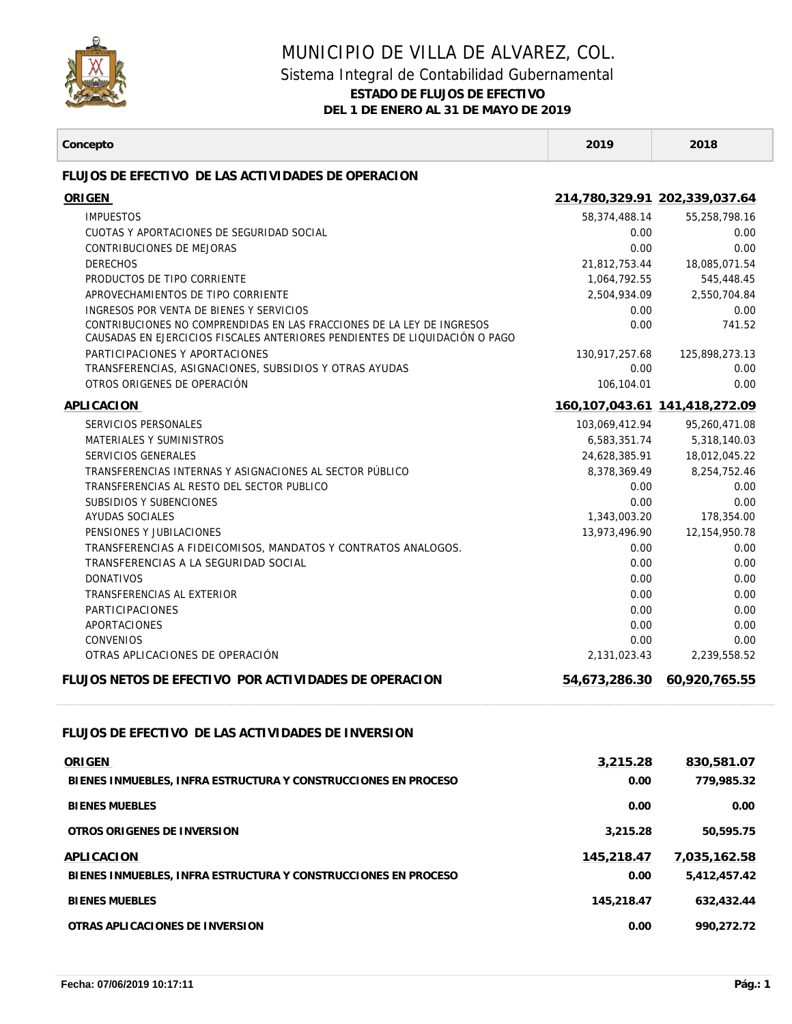

## MUNICIPIO DE VILLA DE ALVAREZ, COL. Sistema Integral de Contabilidad Gubernamental

**ESTADO DE FLUJOS DE EFECTIVO**

**DEL 1 DE ENERO AL 31 DE MAYO DE 2019**

| Concepto                                                                                                                                              | 2019                 | 2018                                |
|-------------------------------------------------------------------------------------------------------------------------------------------------------|----------------------|-------------------------------------|
| FLUJOS DE EFECTIVO DE LAS ACTIVIDADES DE OPERACION                                                                                                    |                      |                                     |
| ORIGEN                                                                                                                                                |                      | 214,780,329.91 202,339,037.64       |
| <b>IMPUESTOS</b>                                                                                                                                      | 58,374,488.14        | 55,258,798.16                       |
| CUOTAS Y APORTACIONES DE SEGURIDAD SOCIAL                                                                                                             | 0.00                 | 0.00                                |
| <b>CONTRIBUCIONES DE MEJORAS</b>                                                                                                                      | 0.00                 | 0.00                                |
| <b>DERECHOS</b>                                                                                                                                       | 21,812,753.44        | 18,085,071.54                       |
| PRODUCTOS DE TIPO CORRIENTE                                                                                                                           | 1,064,792.55         | 545,448.45                          |
| APROVECHAMIENTOS DE TIPO CORRIENTE                                                                                                                    | 2,504,934.09         | 2,550,704.84                        |
| INGRESOS POR VENTA DE BIENES Y SERVICIOS                                                                                                              | 0.00                 | 0.00                                |
| CONTRIBUCIONES NO COMPRENDIDAS EN LAS FRACCIONES DE LA LEY DE INGRESOS<br>CAUSADAS EN EJERCICIOS FISCALES ANTERIORES PENDIENTES DE LIQUIDACIÓN O PAGO | 0.00                 | 741.52                              |
| PARTICIPACIONES Y APORTACIONES                                                                                                                        | 130,917,257.68       | 125,898,273.13                      |
| TRANSFERENCIAS, ASIGNACIONES, SUBSIDIOS Y OTRAS AYUDAS                                                                                                | 0.00                 | 0.00                                |
| OTROS ORIGENES DE OPERACIÓN                                                                                                                           | 106,104.01           | 0.00                                |
| APLICACION                                                                                                                                            |                      | 160, 107, 043. 61 141, 418, 272. 09 |
| SERVICIOS PERSONALES                                                                                                                                  | 103,069,412.94       | 95,260,471.08                       |
| MATERIALES Y SUMINISTROS                                                                                                                              | 6,583,351.74         | 5,318,140.03                        |
| SERVICIOS GENERALES                                                                                                                                   | 24,628,385.91        | 18,012,045.22                       |
| TRANSFERENCIAS INTERNAS Y ASIGNACIONES AL SECTOR PÚBLICO                                                                                              | 8,378,369.49         | 8,254,752.46                        |
| TRANSFERENCIAS AL RESTO DEL SECTOR PUBLICO<br>SUBSIDIOS Y SUBENCIONES                                                                                 | 0.00                 | 0.00<br>0.00                        |
| AYUDAS SOCIALES                                                                                                                                       | 0.00<br>1,343,003.20 | 178,354.00                          |
| PENSIONES Y JUBILACIONES                                                                                                                              | 13,973,496.90        | 12,154,950.78                       |
| TRANSFERENCIAS A FIDEICOMISOS, MANDATOS Y CONTRATOS ANALOGOS.                                                                                         | 0.00                 | 0.00                                |
| TRANSFERENCIAS A LA SEGURIDAD SOCIAL                                                                                                                  | 0.00                 | 0.00                                |
| <b>DONATIVOS</b>                                                                                                                                      | 0.00                 | 0.00                                |
| TRANSFERENCIAS AL EXTERIOR                                                                                                                            | 0.00                 | 0.00                                |
| <b>PARTICIPACIONES</b>                                                                                                                                | 0.00                 | 0.00                                |
| APORTACIONES                                                                                                                                          | 0.00                 | 0.00                                |
| <b>CONVENIOS</b>                                                                                                                                      | 0.00                 | 0.00                                |
| OTRAS APLICACIONES DE OPERACIÓN                                                                                                                       | 2,131,023.43         | 2,239,558.52                        |
| FLUJOS NETOS DE EFECTIVO POR ACTIVIDADES DE OPERACION                                                                                                 |                      | 54,673,286.30 60,920,765.55         |
| FLUJOS DE EFECTIVO DE LAS ACTIVIDADES DE INVERSION                                                                                                    |                      |                                     |
| ORIGEN                                                                                                                                                | 3,215.28             | 830,581.07                          |
| BIENES INMUEBLES, INFRA ESTRUCTURA Y CONSTRUCCIONES EN PROCESO                                                                                        | 0.00                 | 779,985.32                          |
| <b>BIENES MUEBLES</b>                                                                                                                                 | 0.00                 | 0.00                                |
|                                                                                                                                                       |                      |                                     |
| OTROS ORIGENES DE INVERSION                                                                                                                           | 3,215.28             | 50,595.75                           |
| APLICACION                                                                                                                                            | 145,218.47           | 7,035,162.58                        |
| BIENES INMUEBLES, INFRA ESTRUCTURA Y CONSTRUCCIONES EN PROCESO                                                                                        | 0.00                 | 5,412,457.42                        |
| <b>BIENES MUEBLES</b>                                                                                                                                 | 145,218.47           | 632,432.44                          |
| OTRAS APLICACIONES DE INVERSION                                                                                                                       | 0.00                 | 990,272.72                          |
|                                                                                                                                                       |                      |                                     |